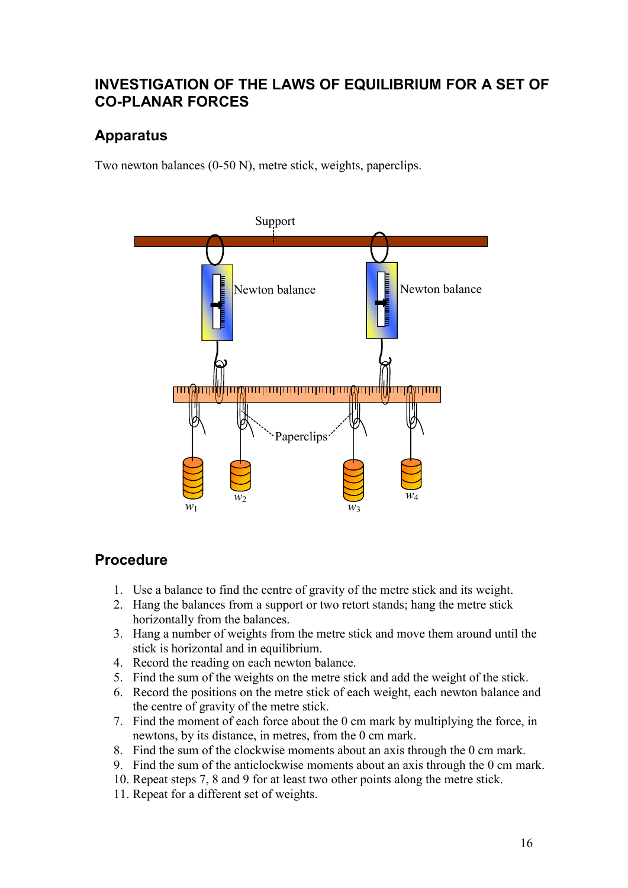### INVESTIGATION OF THE LAWS OF EQUILIBRIUM FOR A SET OF CO-PLANAR FORCES

## Apparatus

Two newton balances (0-50 N), metre stick, weights, paperclips.



#### Procedure

- 1. Use a balance to find the centre of gravity of the metre stick and its weight.
- 2. Hang the balances from a support or two retort stands; hang the metre stick horizontally from the balances.
- 3. Hang a number of weights from the metre stick and move them around until the stick is horizontal and in equilibrium.
- 4. Record the reading on each newton balance.
- 5. Find the sum of the weights on the metre stick and add the weight of the stick.
- 6. Record the positions on the metre stick of each weight, each newton balance and the centre of gravity of the metre stick.
- 7. Find the moment of each force about the 0 cm mark by multiplying the force, in newtons, by its distance, in metres, from the 0 cm mark.
- 8. Find the sum of the clockwise moments about an axis through the 0 cm mark.
- 9. Find the sum of the anticlockwise moments about an axis through the 0 cm mark.
- 10. Repeat steps 7, 8 and 9 for at least two other points along the metre stick.
- 11. Repeat for a different set of weights.